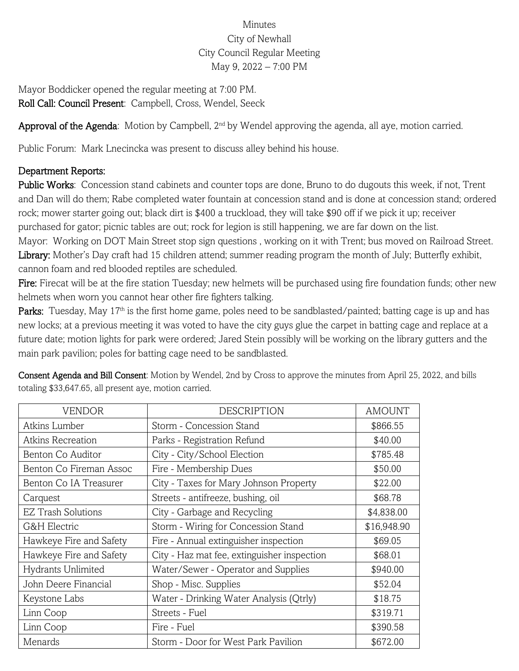## Minutes City of Newhall City Council Regular Meeting May 9, 2022 – 7:00 PM

Mayor Boddicker opened the regular meeting at 7:00 PM. Roll Call: Council Present: Campbell, Cross, Wendel, Seeck

Approval of the Agenda: Motion by Campbell, 2<sup>nd</sup> by Wendel approving the agenda, all aye, motion carried.

Public Forum: Mark Lnecincka was present to discuss alley behind his house.

## Department Reports:

Public Works: Concession stand cabinets and counter tops are done, Bruno to do dugouts this week, if not, Trent and Dan will do them; Rabe completed water fountain at concession stand and is done at concession stand; ordered rock; mower starter going out; black dirt is \$400 a truckload, they will take \$90 off if we pick it up; receiver purchased for gator; picnic tables are out; rock for legion is still happening, we are far down on the list.

Mayor: Working on DOT Main Street stop sign questions , working on it with Trent; bus moved on Railroad Street. Library: Mother's Day craft had 15 children attend; summer reading program the month of July; Butterfly exhibit, cannon foam and red blooded reptiles are scheduled.

Fire: Firecat will be at the fire station Tuesday; new helmets will be purchased using fire foundation funds; other new helmets when worn you cannot hear other fire fighters talking.

Parks: Tuesday, May 17<sup>th</sup> is the first home game, poles need to be sandblasted/painted; batting cage is up and has new locks; at a previous meeting it was voted to have the city guys glue the carpet in batting cage and replace at a future date; motion lights for park were ordered; Jared Stein possibly will be working on the library gutters and the main park pavilion; poles for batting cage need to be sandblasted.

| <b>VENDOR</b>             | <b>DESCRIPTION</b>                          | <b>AMOUNT</b> |
|---------------------------|---------------------------------------------|---------------|
| Atkins Lumber             | Storm - Concession Stand                    | \$866.55      |
| Atkins Recreation         | Parks - Registration Refund                 | \$40.00       |
| Benton Co Auditor         | City - City/School Election                 | \$785.48      |
| Benton Co Fireman Assoc   | Fire - Membership Dues                      | \$50.00       |
| Benton Co IA Treasurer    | City - Taxes for Mary Johnson Property      | \$22.00       |
| Carquest                  | Streets - antifreeze, bushing, oil          | \$68.78       |
| <b>EZ Trash Solutions</b> | City - Garbage and Recycling                | \$4,838.00    |
| G&H Electric              | Storm - Wiring for Concession Stand         | \$16,948.90   |
| Hawkeye Fire and Safety   | Fire - Annual extinguisher inspection       | \$69.05       |
| Hawkeye Fire and Safety   | City - Haz mat fee, extinguisher inspection | \$68.01       |
| Hydrants Unlimited        | Water/Sewer - Operator and Supplies         | \$940.00      |
| John Deere Financial      | Shop - Misc. Supplies                       | \$52.04       |
| Keystone Labs             | Water - Drinking Water Analysis (Qtrly)     | \$18.75       |
| Linn Coop                 | Streets - Fuel                              | \$319.71      |
| Linn Coop                 | Fire - Fuel                                 | \$390.58      |
| Menards                   | Storm - Door for West Park Pavilion         | \$672.00      |

Consent Agenda and Bill Consent: Motion by Wendel, 2nd by Cross to approve the minutes from April 25, 2022, and bills totaling \$33,647.65, all present aye, motion carried.